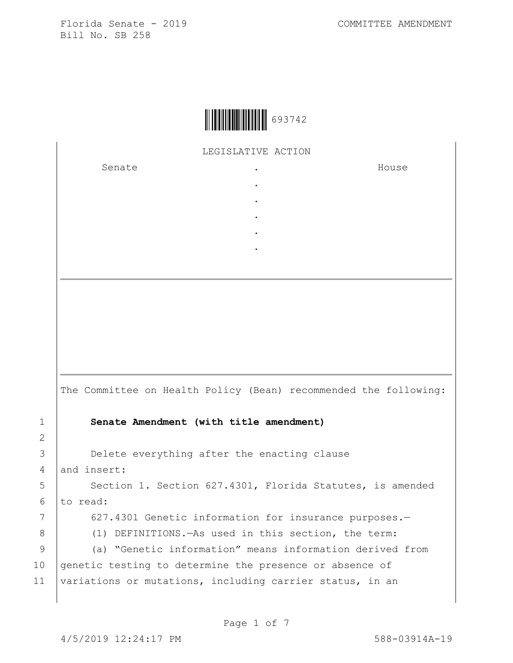LEGISLATIVE ACTION

. . . . .

Senate .

House

|               | The Committee on Health Policy (Bean) recommended the following: |
|---------------|------------------------------------------------------------------|
| $\mathbf 1$   | Senate Amendment (with title amendment)                          |
| $\mathcal{L}$ |                                                                  |
| 3             | Delete everything after the enacting clause                      |
| 4             | and insert:                                                      |
| 5             | Section 1. Section 627.4301, Florida Statutes, is amended        |
| 6             | to read:                                                         |
| 7             | 627.4301 Genetic information for insurance purposes.-            |
| 8             | (1) DEFINITIONS. - As used in this section, the term:            |
| 9             | (a) "Genetic information" means information derived from         |
| 10            | genetic testing to determine the presence or absence of          |
| 11            | variations or mutations, including carrier status, in an         |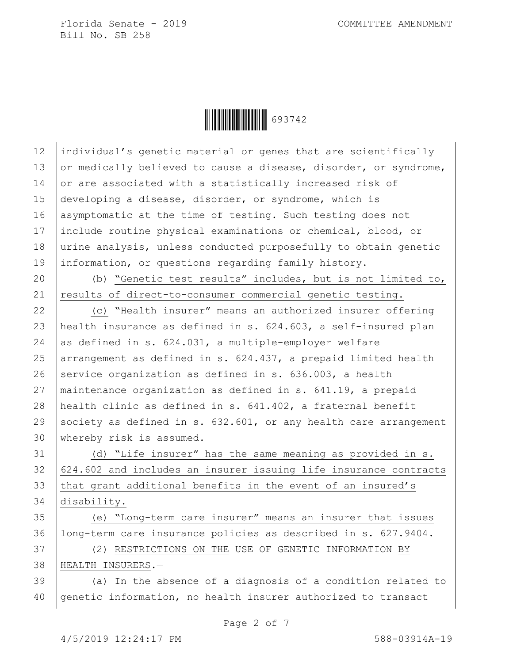Ì6937422Î693742

12 individual's genetic material or genes that are scientifically 13 or medically believed to cause a disease, disorder, or syndrome, 14 or are associated with a statistically increased risk of 15 developing a disease, disorder, or syndrome, which is 16 asymptomatic at the time of testing. Such testing does not include routine physical examinations or chemical, blood, or urine analysis, unless conducted purposefully to obtain genetic information, or questions regarding family history. (b) "Genetic test results" includes, but is not limited to, 21 results of direct-to-consumer commercial genetic testing. (c) "Health insurer" means an authorized insurer offering health insurance as defined in s. 624.603, a self-insured plan 24 as defined in s. 624.031, a multiple-employer welfare  $\alpha$  arrangement as defined in s. 624.437, a prepaid limited health 26 service organization as defined in s.  $636.003$ , a health maintenance organization as defined in s. 641.19, a prepaid health clinic as defined in s. 641.402, a fraternal benefit 29 society as defined in s.  $632.601$ , or any health care arrangement whereby risk is assumed. (d) "Life insurer" has the same meaning as provided in s.  $624.602$  and includes an insurer issuing life insurance contracts 33 that grant additional benefits in the event of an insured's disability. (e) "Long-term care insurer" means an insurer that issues long-term care insurance policies as described in s. 627.9404. (2) RESTRICTIONS ON THE USE OF GENETIC INFORMATION BY

38 HEALTH INSURERS.—

 $39$   $\vert$  (a) In the absence of a diagnosis of a condition related to 40 genetic information, no health insurer authorized to transact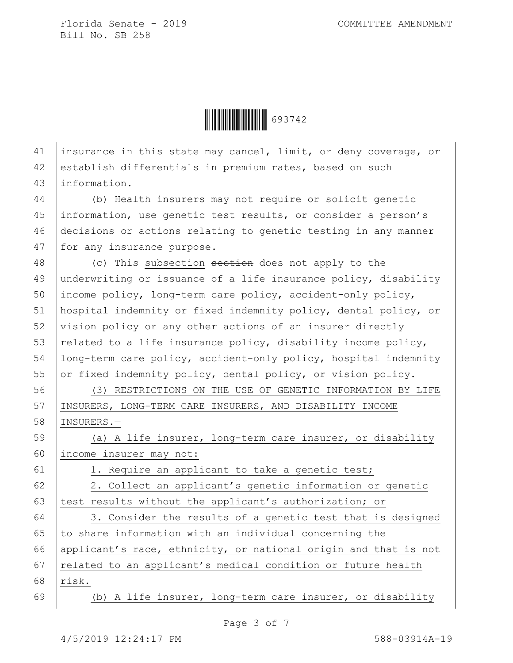

41 insurance in this state may cancel, limit, or deny coverage, or 42 establish differentials in premium rates, based on such 43 information.

 (b) Health insurers may not require or solicit genetic information, use genetic test results, or consider a person's decisions or actions relating to genetic testing in any manner 47 for any insurance purpose.

48 (c) This subsection section does not apply to the 49 underwriting or issuance of a life insurance policy, disability 50 income policy, long-term care policy, accident-only policy, 51 hospital indemnity or fixed indemnity policy, dental policy, or 52 vision policy or any other actions of an insurer directly 53 related to a life insurance policy, disability income policy, 54 long-term care policy, accident-only policy, hospital indemnity 55 or fixed indemnity policy, dental policy, or vision policy.

56 (3) RESTRICTIONS ON THE USE OF GENETIC INFORMATION BY LIFE 57 INSURERS, LONG-TERM CARE INSURERS, AND DISABILITY INCOME 58 INSURERS.—

59 (a) A life insurer, long-term care insurer, or disability 60 income insurer may not:

61 | 1. Require an applicant to take a genetic test;

62 | 2. Collect an applicant's genetic information or genetic 63 | test results without the applicant's authorization; or

64 3. Consider the results of a genetic test that is designed 65  $\vert$  to share information with an individual concerning the 66 applicant's race, ethnicity, or national origin and that is not 67 | related to an applicant's medical condition or future health 68 risk.

69 (b) A life insurer, long-term care insurer, or disability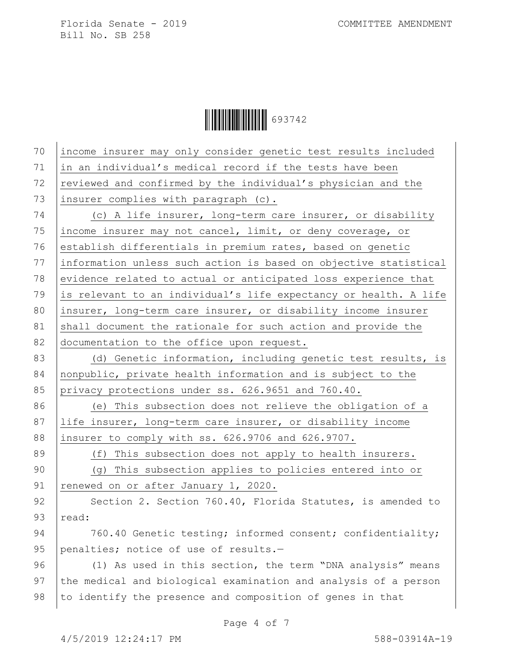Ì6937422Î693742

| 70 | income insurer may only consider genetic test results included   |
|----|------------------------------------------------------------------|
| 71 | in an individual's medical record if the tests have been         |
| 72 | reviewed and confirmed by the individual's physician and the     |
| 73 | insurer complies with paragraph (c).                             |
| 74 | (c) A life insurer, long-term care insurer, or disability        |
| 75 | income insurer may not cancel, limit, or deny coverage, or       |
| 76 | establish differentials in premium rates, based on genetic       |
| 77 | information unless such action is based on objective statistical |
| 78 | evidence related to actual or anticipated loss experience that   |
| 79 | is relevant to an individual's life expectancy or health. A life |
| 80 | insurer, long-term care insurer, or disability income insurer    |
| 81 | shall document the rationale for such action and provide the     |
| 82 | documentation to the office upon request.                        |
| 83 | (d) Genetic information, including genetic test results, is      |
| 84 | nonpublic, private health information and is subject to the      |
| 85 | privacy protections under ss. 626.9651 and 760.40.               |
| 86 | (e) This subsection does not relieve the obligation of a         |
| 87 | life insurer, long-term care insurer, or disability income       |
| 88 | insurer to comply with ss. 626.9706 and 626.9707.                |
| 89 | (f) This subsection does not apply to health insurers.           |
| 90 | (g) This subsection applies to policies entered into or          |
| 91 | renewed on or after January 1, 2020.                             |
| 92 | Section 2. Section 760.40, Florida Statutes, is amended to       |
| 93 | read:                                                            |
| 94 | 760.40 Genetic testing; informed consent; confidentiality;       |
| 95 | penalties; notice of use of results.-                            |
| 96 | (1) As used in this section, the term "DNA analysis" means       |
| 97 | the medical and biological examination and analysis of a person  |
| 98 | to identify the presence and composition of genes in that        |
|    |                                                                  |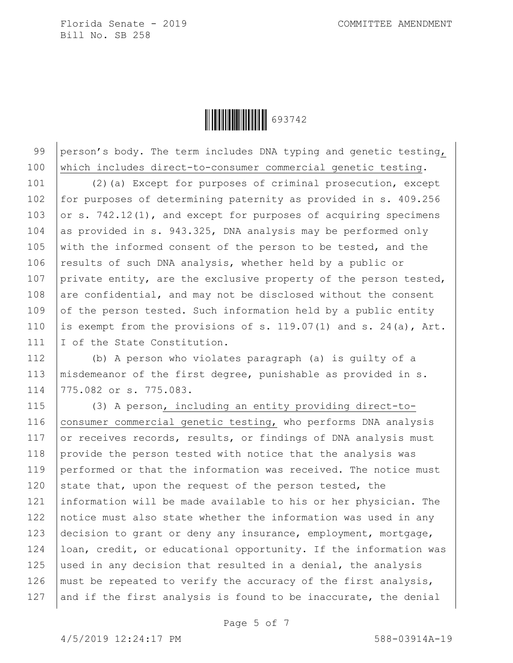

99 person's body. The term includes DNA typing and genetic testing, 100 which includes direct-to-consumer commercial genetic testing.

101 (2)(a) Except for purposes of criminal prosecution, except 102 for purposes of determining paternity as provided in s. 409.256 103 or s.  $742.12(1)$ , and except for purposes of acquiring specimens 104 as provided in s. 943.325, DNA analysis may be performed only 105 with the informed consent of the person to be tested, and the 106 results of such DNA analysis, whether held by a public or 107 private entity, are the exclusive property of the person tested, 108 are confidential, and may not be disclosed without the consent 109 of the person tested. Such information held by a public entity 110 is exempt from the provisions of s. 119.07(1) and s. 24(a), Art. 111 I of the State Constitution.

112 (b) A person who violates paragraph (a) is guilty of a 113 | misdemeanor of the first degree, punishable as provided in s. 114 775.082 or s. 775.083.

115 (3) A person, including an entity providing direct-to-116 | consumer commercial genetic testing, who performs DNA analysis 117 or receives records, results, or findings of DNA analysis must 118 provide the person tested with notice that the analysis was 119 performed or that the information was received. The notice must 120 state that, upon the request of the person tested, the 121 information will be made available to his or her physician. The 122 notice must also state whether the information was used in any 123 decision to grant or deny any insurance, employment, mortgage, 124 | loan, credit, or educational opportunity. If the information was 125 used in any decision that resulted in a denial, the analysis 126 must be repeated to verify the accuracy of the first analysis, 127 and if the first analysis is found to be inaccurate, the denial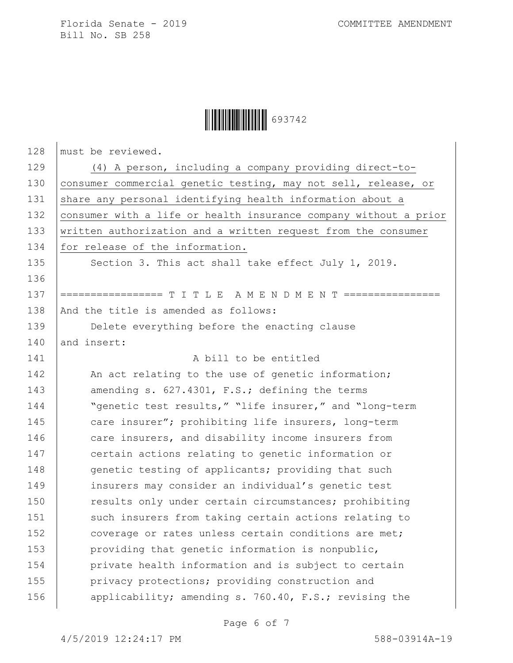## Ì6937422Î693742

| 128 | must be reviewed.                                                |
|-----|------------------------------------------------------------------|
| 129 | (4) A person, including a company providing direct-to-           |
| 130 | consumer commercial genetic testing, may not sell, release, or   |
| 131 | share any personal identifying health information about a        |
| 132 | consumer with a life or health insurance company without a prior |
| 133 | written authorization and a written request from the consumer    |
| 134 | for release of the information.                                  |
| 135 | Section 3. This act shall take effect July 1, 2019.              |
| 136 |                                                                  |
| 137 | ================= T I T L E A M E N D M E N T ===========        |
| 138 | And the title is amended as follows:                             |
| 139 | Delete everything before the enacting clause                     |
| 140 | and insert:                                                      |
| 141 | A bill to be entitled                                            |
| 142 | An act relating to the use of genetic information;               |
| 143 | amending s. 627.4301, F.S.; defining the terms                   |
| 144 | "genetic test results," "life insurer," and "long-term           |
| 145 | care insurer"; prohibiting life insurers, long-term              |
| 146 | care insurers, and disability income insurers from               |
| 147 | certain actions relating to genetic information or               |
| 148 | genetic testing of applicants; providing that such               |
| 149 | insurers may consider an individual's genetic test               |
| 150 | results only under certain circumstances; prohibiting            |
| 151 | such insurers from taking certain actions relating to            |
| 152 | coverage or rates unless certain conditions are met;             |
| 153 | providing that genetic information is nonpublic,                 |
| 154 | private health information and is subject to certain             |
| 155 | privacy protections; providing construction and                  |
| 156 | applicability; amending s. 760.40, F.S.; revising the            |
|     |                                                                  |

Page 6 of 7